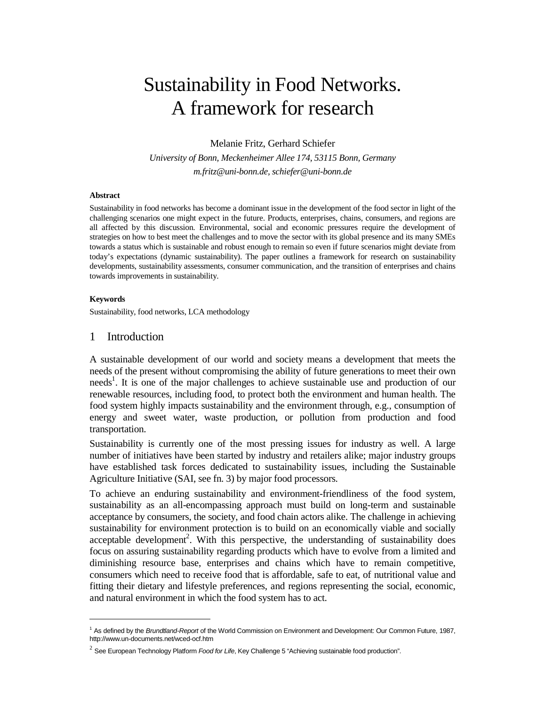# Sustainability in Food Networks. A framework for research

Melanie Fritz, Gerhard Schiefer

*University of Bonn, Meckenheimer Allee 174, 53115 Bonn, Germany m.fritz@uni-bonn.de, schiefer@uni-bonn.de* 

#### **Abstract**

Sustainability in food networks has become a dominant issue in the development of the food sector in light of the challenging scenarios one might expect in the future. Products, enterprises, chains, consumers, and regions are all affected by this discussion. Environmental, social and economic pressures require the development of strategies on how to best meet the challenges and to move the sector with its global presence and its many SMEs towards a status which is sustainable and robust enough to remain so even if future scenarios might deviate from today's expectations (dynamic sustainability). The paper outlines a framework for research on sustainability developments, sustainability assessments, consumer communication, and the transition of enterprises and chains towards improvements in sustainability.

#### **Keywords**

 $\overline{a}$ 

Sustainability, food networks, LCA methodology

#### 1 Introduction

A sustainable development of our world and society means a development that meets the needs of the present without compromising the ability of future generations to meet their own needs<sup>1</sup>. It is one of the major challenges to achieve sustainable use and production of our renewable resources, including food, to protect both the environment and human health. The food system highly impacts sustainability and the environment through, e.g., consumption of energy and sweet water, waste production, or pollution from production and food transportation.

Sustainability is currently one of the most pressing issues for industry as well. A large number of initiatives have been started by industry and retailers alike; major industry groups have established task forces dedicated to sustainability issues, including the Sustainable Agriculture Initiative (SAI, see fn. 3) by major food processors.

To achieve an enduring sustainability and environment-friendliness of the food system, sustainability as an all-encompassing approach must build on long-term and sustainable acceptance by consumers, the society, and food chain actors alike. The challenge in achieving sustainability for environment protection is to build on an economically viable and socially acceptable development<sup>2</sup>. With this perspective, the understanding of sustainability does focus on assuring sustainability regarding products which have to evolve from a limited and diminishing resource base, enterprises and chains which have to remain competitive, consumers which need to receive food that is affordable, safe to eat, of nutritional value and fitting their dietary and lifestyle preferences, and regions representing the social, economic, and natural environment in which the food system has to act.

<sup>&</sup>lt;sup>1</sup> As defined by the Brundtland-Report of the World Commission on Environment and Development: Our Common Future, 1987, http://www.un-documents.net/wced-ocf.htm

 $^2$  See European Technology Platform *Food for Life*, Key Challenge 5 "Achieving sustainable food production".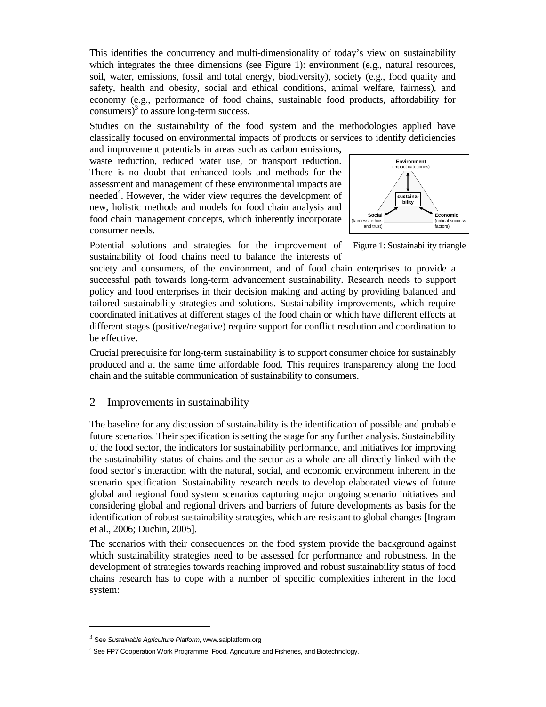This identifies the concurrency and multi-dimensionality of today's view on sustainability which integrates the three dimensions (see Figure 1): environment (e.g., natural resources, soil, water, emissions, fossil and total energy, biodiversity), society (e.g., food quality and safety, health and obesity, social and ethical conditions, animal welfare, fairness), and economy (e.g., performance of food chains, sustainable food products, affordability for consumers) $3$  to assure long-term success.

Studies on the sustainability of the food system and the methodologies applied have classically focused on environmental impacts of products or services to identify deficiencies

and improvement potentials in areas such as carbon emissions, waste reduction, reduced water use, or transport reduction. There is no doubt that enhanced tools and methods for the assessment and management of these environmental impacts are needed<sup>4</sup>. However, the wider view requires the development of new, holistic methods and models for food chain analysis and food chain management concepts, which inherently incorporate consumer needs.



Potential solutions and strategies for the improvement of sustainability of food chains need to balance the interests of

Figure 1: Sustainability triangle

society and consumers, of the environment, and of food chain enterprises to provide a successful path towards long-term advancement sustainability. Research needs to support policy and food enterprises in their decision making and acting by providing balanced and tailored sustainability strategies and solutions. Sustainability improvements, which require coordinated initiatives at different stages of the food chain or which have different effects at different stages (positive/negative) require support for conflict resolution and coordination to be effective.

Crucial prerequisite for long-term sustainability is to support consumer choice for sustainably produced and at the same time affordable food. This requires transparency along the food chain and the suitable communication of sustainability to consumers.

## 2 Improvements in sustainability

The baseline for any discussion of sustainability is the identification of possible and probable future scenarios. Their specification is setting the stage for any further analysis. Sustainability of the food sector, the indicators for sustainability performance, and initiatives for improving the sustainability status of chains and the sector as a whole are all directly linked with the food sector's interaction with the natural, social, and economic environment inherent in the scenario specification. Sustainability research needs to develop elaborated views of future global and regional food system scenarios capturing major ongoing scenario initiatives and considering global and regional drivers and barriers of future developments as basis for the identification of robust sustainability strategies, which are resistant to global changes [Ingram et al., 2006; Duchin, 2005].

The scenarios with their consequences on the food system provide the background against which sustainability strategies need to be assessed for performance and robustness. In the development of strategies towards reaching improved and robust sustainability status of food chains research has to cope with a number of specific complexities inherent in the food system:

 $\overline{a}$ 

 $3$  See Sustainable Agriculture Platform, www.saiplatform.org

<sup>&</sup>lt;sup>4</sup> See FP7 Cooperation Work Programme: Food, Agriculture and Fisheries, and Biotechnology.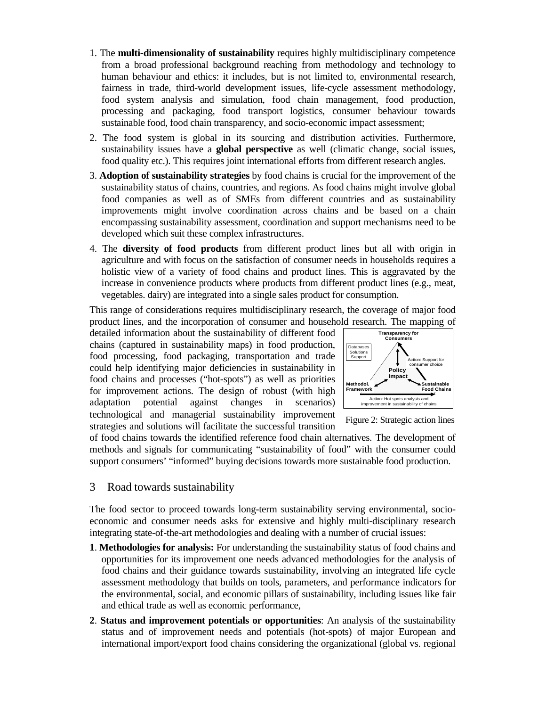- 1. The **multi-dimensionality of sustainability** requires highly multidisciplinary competence from a broad professional background reaching from methodology and technology to human behaviour and ethics: it includes, but is not limited to, environmental research, fairness in trade, third-world development issues, life-cycle assessment methodology, food system analysis and simulation, food chain management, food production, processing and packaging, food transport logistics, consumer behaviour towards sustainable food, food chain transparency, and socio-economic impact assessment;
- 2. The food system is global in its sourcing and distribution activities. Furthermore, sustainability issues have a **global perspective** as well (climatic change, social issues, food quality etc.). This requires joint international efforts from different research angles.
- 3. **Adoption of sustainability strategies** by food chains is crucial for the improvement of the sustainability status of chains, countries, and regions. As food chains might involve global food companies as well as of SMEs from different countries and as sustainability improvements might involve coordination across chains and be based on a chain encompassing sustainability assessment, coordination and support mechanisms need to be developed which suit these complex infrastructures.
- 4. The **diversity of food products** from different product lines but all with origin in agriculture and with focus on the satisfaction of consumer needs in households requires a holistic view of a variety of food chains and product lines. This is aggravated by the increase in convenience products where products from different product lines (e.g., meat, vegetables. dairy) are integrated into a single sales product for consumption.

This range of considerations requires multidisciplinary research, the coverage of major food product lines, and the incorporation of consumer and household research. The mapping of

detailed information about the sustainability of different food chains (captured in sustainability maps) in food production, food processing, food packaging, transportation and trade could help identifying major deficiencies in sustainability in food chains and processes ("hot-spots") as well as priorities for improvement actions. The design of robust (with high adaptation potential against changes in scenarios) technological and managerial sustainability improvement strategies and solutions will facilitate the successful transition



Figure 2: Strategic action lines

of food chains towards the identified reference food chain alternatives. The development of methods and signals for communicating "sustainability of food" with the consumer could support consumers' "informed" buying decisions towards more sustainable food production.

3 Road towards sustainability

The food sector to proceed towards long-term sustainability serving environmental, socioeconomic and consumer needs asks for extensive and highly multi-disciplinary research integrating state-of-the-art methodologies and dealing with a number of crucial issues:

- **1**. **Methodologies for analysis:** For understanding the sustainability status of food chains and opportunities for its improvement one needs advanced methodologies for the analysis of food chains and their guidance towards sustainability, involving an integrated life cycle assessment methodology that builds on tools, parameters, and performance indicators for the environmental, social, and economic pillars of sustainability, including issues like fair and ethical trade as well as economic performance,
- **2**. **Status and improvement potentials or opportunities**: An analysis of the sustainability status and of improvement needs and potentials (hot-spots) of major European and international import/export food chains considering the organizational (global vs. regional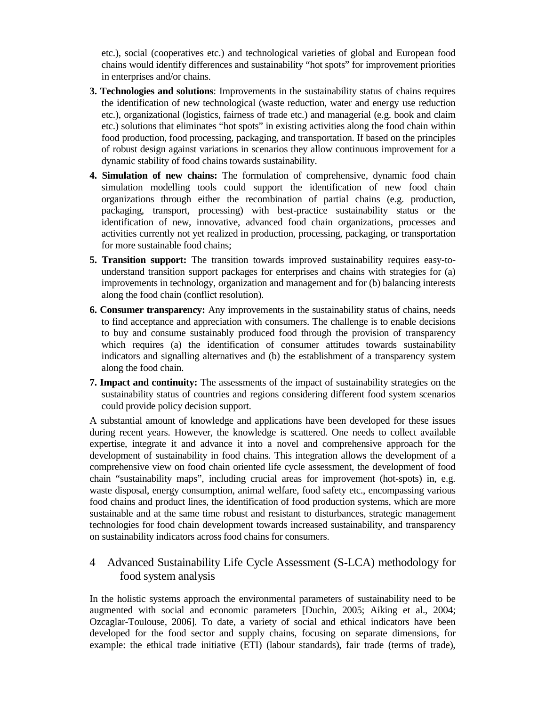etc.), social (cooperatives etc.) and technological varieties of global and European food chains would identify differences and sustainability "hot spots" for improvement priorities in enterprises and/or chains.

- **3. Technologies and solutions**: Improvements in the sustainability status of chains requires the identification of new technological (waste reduction, water and energy use reduction etc.), organizational (logistics, fairness of trade etc.) and managerial (e.g. book and claim etc.) solutions that eliminates "hot spots" in existing activities along the food chain within food production, food processing, packaging, and transportation. If based on the principles of robust design against variations in scenarios they allow continuous improvement for a dynamic stability of food chains towards sustainability.
- **4. Simulation of new chains:** The formulation of comprehensive, dynamic food chain simulation modelling tools could support the identification of new food chain organizations through either the recombination of partial chains (e.g. production, packaging, transport, processing) with best-practice sustainability status or the identification of new, innovative, advanced food chain organizations, processes and activities currently not yet realized in production, processing, packaging, or transportation for more sustainable food chains;
- **5. Transition support:** The transition towards improved sustainability requires easy-tounderstand transition support packages for enterprises and chains with strategies for (a) improvements in technology, organization and management and for (b) balancing interests along the food chain (conflict resolution).
- **6. Consumer transparency:** Any improvements in the sustainability status of chains, needs to find acceptance and appreciation with consumers. The challenge is to enable decisions to buy and consume sustainably produced food through the provision of transparency which requires (a) the identification of consumer attitudes towards sustainability indicators and signalling alternatives and (b) the establishment of a transparency system along the food chain.
- **7. Impact and continuity:** The assessments of the impact of sustainability strategies on the sustainability status of countries and regions considering different food system scenarios could provide policy decision support.

A substantial amount of knowledge and applications have been developed for these issues during recent years. However, the knowledge is scattered. One needs to collect available expertise, integrate it and advance it into a novel and comprehensive approach for the development of sustainability in food chains. This integration allows the development of a comprehensive view on food chain oriented life cycle assessment, the development of food chain "sustainability maps", including crucial areas for improvement (hot-spots) in, e.g. waste disposal, energy consumption, animal welfare, food safety etc., encompassing various food chains and product lines, the identification of food production systems, which are more sustainable and at the same time robust and resistant to disturbances, strategic management technologies for food chain development towards increased sustainability, and transparency on sustainability indicators across food chains for consumers.

# 4 Advanced Sustainability Life Cycle Assessment (S-LCA) methodology for food system analysis

In the holistic systems approach the environmental parameters of sustainability need to be augmented with social and economic parameters [Duchin, 2005; Aiking et al., 2004; Ozcaglar-Toulouse, 2006]. To date, a variety of social and ethical indicators have been developed for the food sector and supply chains, focusing on separate dimensions, for example: the ethical trade initiative (ETI) (labour standards), fair trade (terms of trade),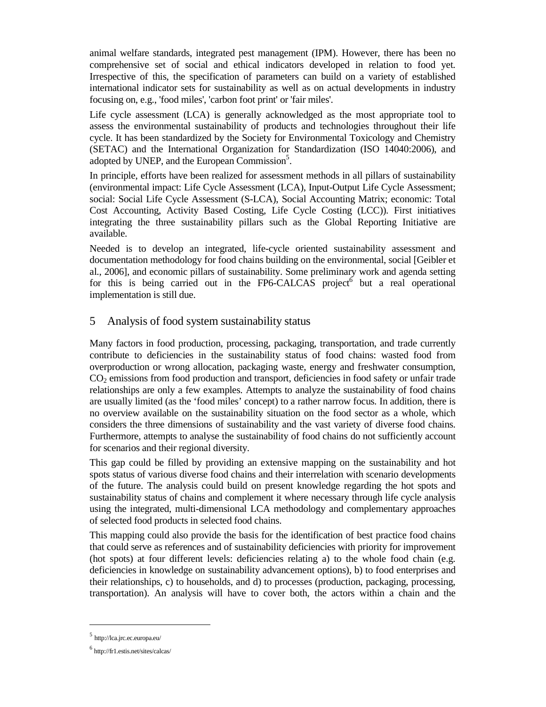animal welfare standards, integrated pest management (IPM). However, there has been no comprehensive set of social and ethical indicators developed in relation to food yet. Irrespective of this, the specification of parameters can build on a variety of established international indicator sets for sustainability as well as on actual developments in industry focusing on, e.g., 'food miles', 'carbon foot print' or 'fair miles'.

Life cycle assessment (LCA) is generally acknowledged as the most appropriate tool to assess the environmental sustainability of products and technologies throughout their life cycle. It has been standardized by the Society for Environmental Toxicology and Chemistry (SETAC) and the International Organization for Standardization (ISO 14040:2006), and adopted by UNEP, and the European Commission<sup>5</sup>.

In principle, efforts have been realized for assessment methods in all pillars of sustainability (environmental impact: Life Cycle Assessment (LCA), Input-Output Life Cycle Assessment; social: Social Life Cycle Assessment (S-LCA), Social Accounting Matrix; economic: Total Cost Accounting, Activity Based Costing, Life Cycle Costing (LCC)). First initiatives integrating the three sustainability pillars such as the Global Reporting Initiative are available.

Needed is to develop an integrated, life-cycle oriented sustainability assessment and documentation methodology for food chains building on the environmental, social [Geibler et al., 2006], and economic pillars of sustainability. Some preliminary work and agenda setting for this is being carried out in the FP6-CALCAS project but a real operational implementation is still due.

## 5 Analysis of food system sustainability status

Many factors in food production, processing, packaging, transportation, and trade currently contribute to deficiencies in the sustainability status of food chains: wasted food from overproduction or wrong allocation, packaging waste, energy and freshwater consumption, CO2 emissions from food production and transport, deficiencies in food safety or unfair trade relationships are only a few examples. Attempts to analyze the sustainability of food chains are usually limited (as the 'food miles' concept) to a rather narrow focus. In addition, there is no overview available on the sustainability situation on the food sector as a whole, which considers the three dimensions of sustainability and the vast variety of diverse food chains. Furthermore, attempts to analyse the sustainability of food chains do not sufficiently account for scenarios and their regional diversity.

This gap could be filled by providing an extensive mapping on the sustainability and hot spots status of various diverse food chains and their interrelation with scenario developments of the future. The analysis could build on present knowledge regarding the hot spots and sustainability status of chains and complement it where necessary through life cycle analysis using the integrated, multi-dimensional LCA methodology and complementary approaches of selected food products in selected food chains.

This mapping could also provide the basis for the identification of best practice food chains that could serve as references and of sustainability deficiencies with priority for improvement (hot spots) at four different levels: deficiencies relating a) to the whole food chain (e.g. deficiencies in knowledge on sustainability advancement options), b) to food enterprises and their relationships, c) to households, and d) to processes (production, packaging, processing, transportation). An analysis will have to cover both, the actors within a chain and the

 $\overline{a}$ 

<sup>5</sup> http://lca.jrc.ec.europa.eu/

<sup>6</sup> http://fr1.estis.net/sites/calcas/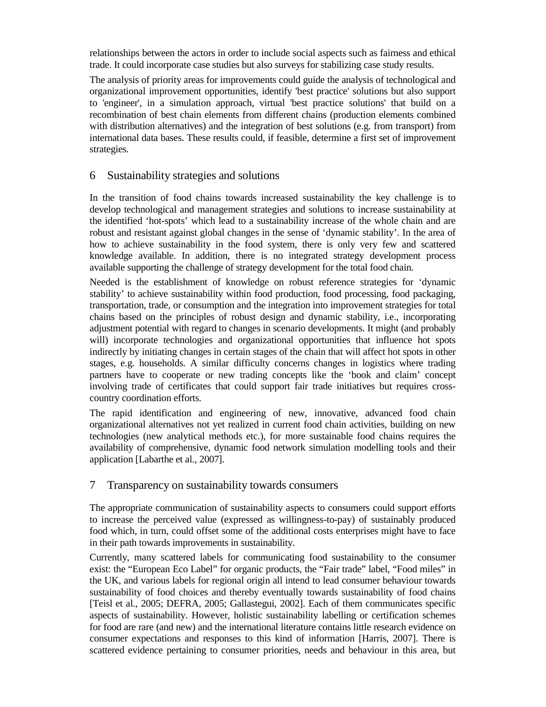relationships between the actors in order to include social aspects such as fairness and ethical trade. It could incorporate case studies but also surveys for stabilizing case study results.

The analysis of priority areas for improvements could guide the analysis of technological and organizational improvement opportunities, identify 'best practice' solutions but also support to 'engineer', in a simulation approach, virtual 'best practice solutions' that build on a recombination of best chain elements from different chains (production elements combined with distribution alternatives) and the integration of best solutions (e.g. from transport) from international data bases. These results could, if feasible, determine a first set of improvement strategies.

## 6 Sustainability strategies and solutions

In the transition of food chains towards increased sustainability the key challenge is to develop technological and management strategies and solutions to increase sustainability at the identified 'hot-spots' which lead to a sustainability increase of the whole chain and are robust and resistant against global changes in the sense of 'dynamic stability'. In the area of how to achieve sustainability in the food system, there is only very few and scattered knowledge available. In addition, there is no integrated strategy development process available supporting the challenge of strategy development for the total food chain.

Needed is the establishment of knowledge on robust reference strategies for 'dynamic stability' to achieve sustainability within food production, food processing, food packaging, transportation, trade, or consumption and the integration into improvement strategies for total chains based on the principles of robust design and dynamic stability, i.e., incorporating adjustment potential with regard to changes in scenario developments. It might (and probably will) incorporate technologies and organizational opportunities that influence hot spots indirectly by initiating changes in certain stages of the chain that will affect hot spots in other stages, e.g. households. A similar difficulty concerns changes in logistics where trading partners have to cooperate or new trading concepts like the 'book and claim' concept involving trade of certificates that could support fair trade initiatives but requires crosscountry coordination efforts.

The rapid identification and engineering of new, innovative, advanced food chain organizational alternatives not yet realized in current food chain activities, building on new technologies (new analytical methods etc.), for more sustainable food chains requires the availability of comprehensive, dynamic food network simulation modelling tools and their application [Labarthe et al., 2007].

## 7 Transparency on sustainability towards consumers

The appropriate communication of sustainability aspects to consumers could support efforts to increase the perceived value (expressed as willingness-to-pay) of sustainably produced food which, in turn, could offset some of the additional costs enterprises might have to face in their path towards improvements in sustainability.

Currently, many scattered labels for communicating food sustainability to the consumer exist: the "European Eco Label" for organic products, the "Fair trade" label, "Food miles" in the UK, and various labels for regional origin all intend to lead consumer behaviour towards sustainability of food choices and thereby eventually towards sustainability of food chains [Teisl et al., 2005; DEFRA, 2005; Gallastegui, 2002]. Each of them communicates specific aspects of sustainability. However, holistic sustainability labelling or certification schemes for food are rare (and new) and the international literature contains little research evidence on consumer expectations and responses to this kind of information [Harris, 2007]. There is scattered evidence pertaining to consumer priorities, needs and behaviour in this area, but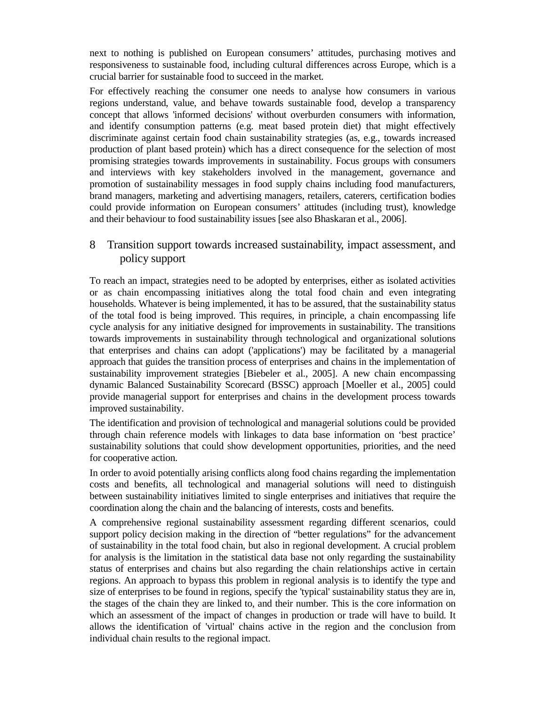next to nothing is published on European consumers' attitudes, purchasing motives and responsiveness to sustainable food, including cultural differences across Europe, which is a crucial barrier for sustainable food to succeed in the market.

For effectively reaching the consumer one needs to analyse how consumers in various regions understand, value, and behave towards sustainable food, develop a transparency concept that allows 'informed decisions' without overburden consumers with information, and identify consumption patterns (e.g. meat based protein diet) that might effectively discriminate against certain food chain sustainability strategies (as, e.g., towards increased production of plant based protein) which has a direct consequence for the selection of most promising strategies towards improvements in sustainability. Focus groups with consumers and interviews with key stakeholders involved in the management, governance and promotion of sustainability messages in food supply chains including food manufacturers, brand managers, marketing and advertising managers, retailers, caterers, certification bodies could provide information on European consumers' attitudes (including trust), knowledge and their behaviour to food sustainability issues [see also Bhaskaran et al., 2006].

## 8 Transition support towards increased sustainability, impact assessment, and policy support

To reach an impact, strategies need to be adopted by enterprises, either as isolated activities or as chain encompassing initiatives along the total food chain and even integrating households. Whatever is being implemented, it has to be assured, that the sustainability status of the total food is being improved. This requires, in principle, a chain encompassing life cycle analysis for any initiative designed for improvements in sustainability. The transitions towards improvements in sustainability through technological and organizational solutions that enterprises and chains can adopt ('applications') may be facilitated by a managerial approach that guides the transition process of enterprises and chains in the implementation of sustainability improvement strategies [Biebeler et al., 2005]. A new chain encompassing dynamic Balanced Sustainability Scorecard (BSSC) approach [Moeller et al., 2005] could provide managerial support for enterprises and chains in the development process towards improved sustainability.

The identification and provision of technological and managerial solutions could be provided through chain reference models with linkages to data base information on 'best practice' sustainability solutions that could show development opportunities, priorities, and the need for cooperative action.

In order to avoid potentially arising conflicts along food chains regarding the implementation costs and benefits, all technological and managerial solutions will need to distinguish between sustainability initiatives limited to single enterprises and initiatives that require the coordination along the chain and the balancing of interests, costs and benefits.

A comprehensive regional sustainability assessment regarding different scenarios, could support policy decision making in the direction of "better regulations" for the advancement of sustainability in the total food chain, but also in regional development. A crucial problem for analysis is the limitation in the statistical data base not only regarding the sustainability status of enterprises and chains but also regarding the chain relationships active in certain regions. An approach to bypass this problem in regional analysis is to identify the type and size of enterprises to be found in regions, specify the 'typical' sustainability status they are in, the stages of the chain they are linked to, and their number. This is the core information on which an assessment of the impact of changes in production or trade will have to build. It allows the identification of 'virtual' chains active in the region and the conclusion from individual chain results to the regional impact.